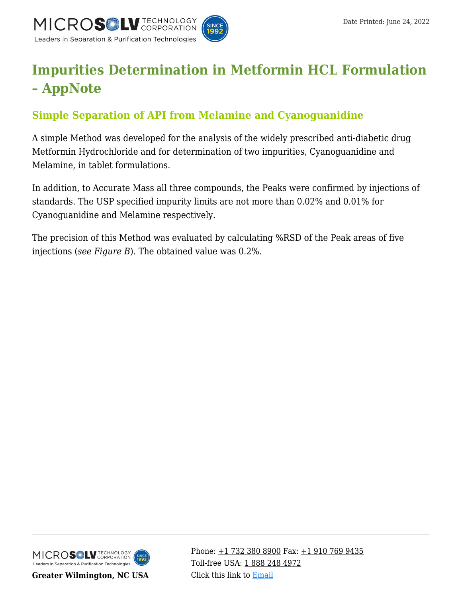

# **[Impurities Determination in Metformin HCL Formulation](https://kb.mtc-usa.com/article/aa-00813/46/) [– AppNote](https://kb.mtc-usa.com/article/aa-00813/46/)**

## **Simple Separation of API from Melamine and Cyanoguanidine**

A simple Method was developed for the analysis of the widely prescribed anti-diabetic drug Metformin Hydrochloride and for determination of two impurities, Cyanoguanidine and Melamine, in tablet formulations.

In addition, to Accurate Mass all three compounds, the Peaks were confirmed by injections of standards. The USP specified impurity limits are not more than 0.02% and 0.01% for Cyanoguanidine and Melamine respectively.

The precision of this Method was evaluated by calculating %RSD of the Peak areas of five injections (*see Figure B*). The obtained value was 0.2%.



**Greater Wilmington, NC USA**

Phone:  $\pm$ 1 732 380 8900 Fax:  $\pm$ 1 910 769 9435 Toll-free USA: [1 888 248 4972](#page--1-0) Click this link to [Email](https://www.mtc-usa.com/contact)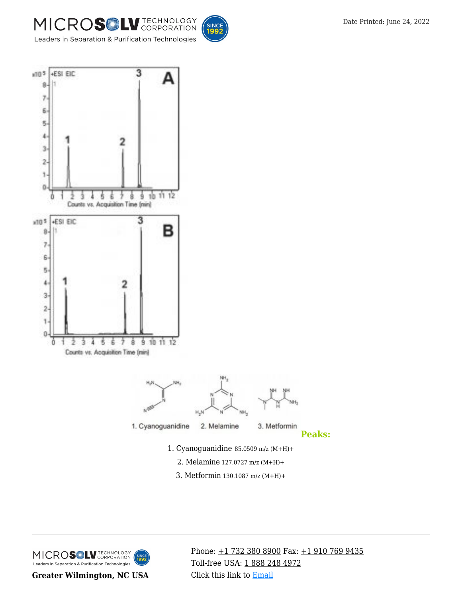





- 2. Melamine 127.0727 m/z (M+H)+
- 3. Metformin 130.1087 m/z (M+H)+

MICROSOLV TECHNOLOGY SINCE<br>1**992** Leaders in Separation & Purification Technologies

**Greater Wilmington, NC USA**

Phone: [+1 732 380 8900](#page--1-0) Fax: [+1 910 769 9435](#page--1-0) Toll-free USA: [1 888 248 4972](#page--1-0) Click this link to [Email](https://www.mtc-usa.com/contact)

**Peaks:**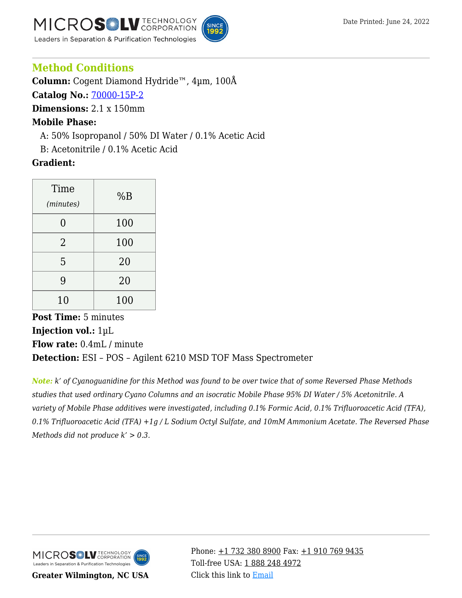



### **Method Conditions**

**Column:** Cogent Diamond Hydride™, 4µm, 100Å

**Catalog No.:** [70000-15P-2](https://www.mtc-usa.com/product-details/id/4115801)

**Dimensions:** 2.1 x 150mm

#### **Mobile Phase:**

—A: 50% Isopropanol / 50% DI Water / 0.1% Acetic Acid

—B: Acetonitrile / 0.1% Acetic Acid

#### **Gradient:**

| Time<br>(minutes) | %B  |
|-------------------|-----|
| 0                 | 100 |
| $\overline{2}$    | 100 |
| 5                 | 20  |
| 9                 | 20  |
| 10                | 100 |

**Post Time:** 5 minutes **Injection vol.:** 1µL **Flow rate:** 0.4mL / minute **Detection:** ESI – POS – Agilent 6210 MSD TOF Mass Spectrometer

*Note: k' of Cyanoguanidine for this Method was found to be over twice that of some Reversed Phase Methods studies that used ordinary Cyano Columns and an isocratic Mobile Phase 95% DI Water / 5% Acetonitrile. A variety of Mobile Phase additives were investigated, including 0.1% Formic Acid, 0.1% Trifluoroacetic Acid (TFA), 0.1% Trifluoroacetic Acid (TFA) +1g / L Sodium Octyl Sulfate, and 10mM Ammonium Acetate. The Reversed Phase Methods did not produce k' > 0.3.*



**Greater Wilmington, NC USA**

Phone:  $\pm$ 1 732 380 8900 Fax:  $\pm$ 1 910 769 9435 Toll-free USA: [1 888 248 4972](#page--1-0) Click this link to [Email](https://www.mtc-usa.com/contact)